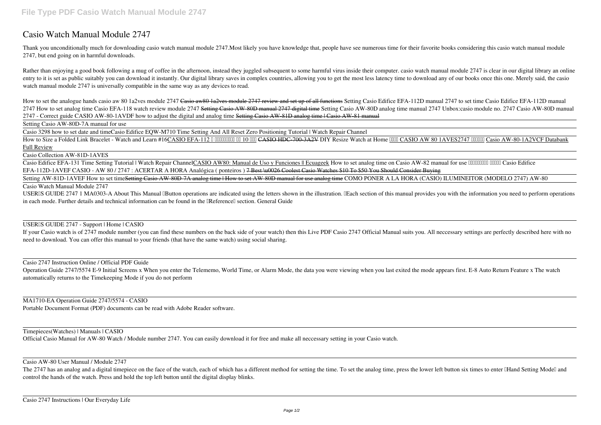# **Casio Watch Manual Module 2747**

Thank you unconditionally much for downloading **casio watch manual module 2747**.Most likely you have knowledge that, people have see numerous time for their favorite books considering this casio watch manual module 2747, but end going on in harmful downloads.

Rather than enjoying a good book following a mug of coffee in the afternoon, instead they juggled subsequent to some harmful virus inside their computer. casio watch manual module 2747 is clear in our digital library an on entry to it is set as public suitably you can download it instantly. Our digital library saves in complex countries, allowing you to get the most less latency time to download any of our books once this one. Merely said, t watch manual module 2747 is universally compatible in the same way as any devices to read.

How to set the analogue hands casio aw 80 1a2ves module 2747 Casio aw80 1a2ves module 2747 review and set up of all functions Setting Casio Edifice EFA-112D manual 2747 to set time Casio Edifice EFA-112D manual 2747 How to set analog time Casio EFA-118 watch review module 2747 Setting Casio AW-80D manual 2747 digital time Setting Casio AW-80D analog time manual 2747 Unbox:casio module no. 2747 Casio AW-80D manual **2747 - Correct guide** CASIO AW-80-1AVDF how to adjust the digital and analog time Setting Casio AW-81D analog time | Casio AW-81 manual

How to Size a Folded Link Bracelet - Watch and Learn #16CASIO EFA-112 0 000000000 00 10 000 CASIO HDC-700-3A2V DIY Resize Watch at Home 0000 CASIO AW 80 1AVES2747 000000 Casio AW-80-1A2VCF Databank Full Review

Casio Edifice EFA-131 Time Setting Tutorial | Watch Repair ChannelCASIO AW80: Manual de Uso y Funciones || Ecuageek How to set analog time on Casio AW-82 manual for use *IIIIIIIIIIIII Casio Edifice EFA-112D-1AVEF CASIO - AW 80 / 2747 : ACERTAR A HORA Analógica ( ponteiros )* 7 Best \u0026 Coolest Casio Watches \$10 To \$50 You Should Consider Buying

Setting AW-81D-1AVEF How to set time<del>Setting Casio AW-80D-7A analog time How to set AW-80D manual for use analog time</del> COMO PONER A LA HORA (CASIO) ILUMINEITOR (MODELO 2747) AW-80

Setting Casio AW-80D-7A manual for use

Casio 3298 how to set date and time**Casio Edifice EQW-M710 Time Setting And All Reset Zero Positioning Tutorial | Watch Repair Channel**

Operation Guide 2747/5574 E-9 Initial Screens x When you enter the Telememo, World Time, or Alarm Mode, the data you were viewing when you last exited the mode appears first. E-8 Auto Return Feature x The watch automatically returns to the Timekeeping Mode if you do not perform

Casio Collection AW-81D-1AVES

The 2747 has an analog and a digital timepiece on the face of the watch, each of which has a different method for setting the time. To set the analog time, press the lower left button six times to enter IH and Setting Mode control the hands of the watch. Press and hold the top left button until the digital display blinks.

Casio Watch Manual Module 2747

USERIS GUIDE 2747 1 MA0303-A About This Manual IButton operations are indicated using the letters shown in the illustration. IEach section of this manual provides you with the information you need to perform operations in each mode. Further details and technical information can be found in the **IReference** section. General Guide

# USER'S GUIDE 2747 - Support | Home | CASIO

If your Casio watch is of 2747 module number (you can find these numbers on the back side of your watch) then this Live PDF Casio 2747 Official Manual suits you. All neccessary settings are perfectly described here with no need to download. You can offer this manual to your friends (that have the same watch) using social sharing.

Casio 2747 Instruction Online / Official PDF Guide

MA1710-EA Operation Guide 2747/5574 - CASIO

Portable Document Format (PDF) documents can be read with Adobe Reader software.

Timepieces(Watches) | Manuals | CASIO

Official Casio Manual for AW-80 Watch / Module number 2747. You can easily download it for free and make all neccessary setting in your Casio watch.

Casio AW-80 User Manual / Module 2747